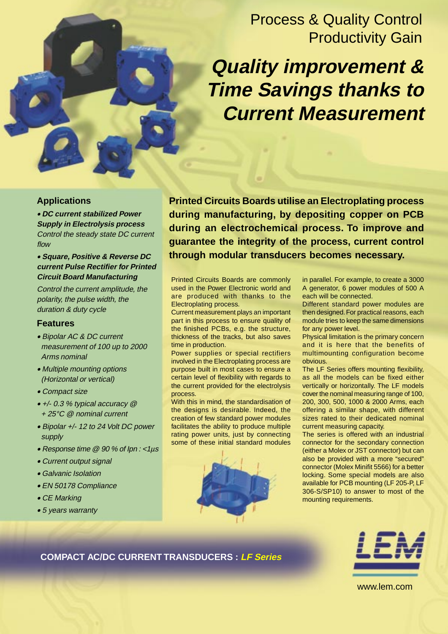## Process & Quality Control Productivity Gain

# **Quality improvement & Time Savings thanks to Current Measurement**

#### **Applications**

• **DC current stabilized Power Supply in Electrolysis process** Control the steady state DC current flow

#### • **Square, Positive & Reverse DC current Pulse Rectifier for Printed Circuit Board Manufacturing**

Control the current amplitude, the polarity, the pulse width, the duration & duty cycle

#### **Features**

- Bipolar AC & DC current measurement of 100 up to 2000 Arms nominal
- Multiple mounting options (Horizontal or vertical)
- Compact size
- +/- 0.3 % typical accuracy @
- + 25°C @ nominal current
- Bipolar +/- 12 to 24 Volt DC power supply
- Response time @ 90 % of Ipn : <1µ<sup>s</sup>
- Current output signal
- Galvanic Isolation
- EN 50178 Compliance
- CE Marking
- 5 years warranty

**Printed Circuits Boards utilise an Electroplating process during manufacturing, by depositing copper on PCB during an electrochemical process. To improve and guarantee the integrity of the process, current control through modular transducers becomes necessary.**

Printed Circuits Boards are commonly used in the Power Electronic world and are produced with thanks to the Electroplating process.

Current measurement plays an important part in this process to ensure quality of the finished PCBs, e.g. the structure, thickness of the tracks, but also saves time in production.

Power supplies or special rectifiers involved in the Electroplating process are purpose built in most cases to ensure a certain level of flexibility with regards to the current provided for the electrolysis process.

With this in mind, the standardisation of the designs is desirable. Indeed, the creation of few standard power modules facilitates the ability to produce multiple rating power units, just by connecting some of these initial standard modules



in parallel. For example, to create a 3000 A generator, 6 power modules of 500 A each will be connected.

Different standard power modules are then designed. For practical reasons, each module tries to keep the same dimensions for any power level.

Physical limitation is the primary concern and it is here that the benefits of multimounting configuration become obvious.

The LF Series offers mounting flexibility, as all the models can be fixed either vertically or horizontally. The LF models cover the nominal measuring range of 100, 200, 300, 500, 1000 & 2000 Arms, each offering a similar shape, with different sizes rated to their dedicated nominal current measuring capacity.

The series is offered with an industrial connector for the secondary connection (either a Molex or JST connector) but can also be provided with a more "secured" connector (Molex Minifit 5566) for a better locking. Some special models are also available for PCB mounting (LF 205-P, LF 306-S/SP10) to answer to most of the mounting requirements.

## **COMPACT AC/DC CURRENT TRANSDUCERS : LF Series**